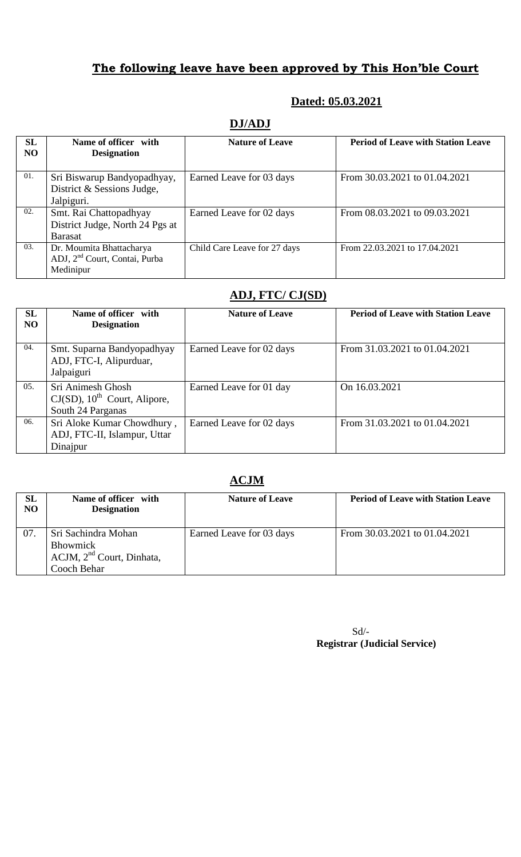# **The following leave have been approved by This Hon'ble Court**

#### **Dated: 05.03.2021**

## **DJ/ADJ**

| SL<br><b>NO</b> | Name of officer with<br><b>Designation</b>                                         | <b>Nature of Leave</b>       | <b>Period of Leave with Station Leave</b> |
|-----------------|------------------------------------------------------------------------------------|------------------------------|-------------------------------------------|
| 01.             | Sri Biswarup Bandyopadhyay,<br>District & Sessions Judge,<br>Jalpiguri.            | Earned Leave for 03 days     | From 30.03.2021 to 01.04.2021             |
| 02.             | Smt. Rai Chattopadhyay<br>District Judge, North 24 Pgs at<br><b>Barasat</b>        | Earned Leave for 02 days     | From 08.03.2021 to 09.03.2021             |
| 03.             | Dr. Moumita Bhattacharya<br>ADJ, 2 <sup>nd</sup> Court, Contai, Purba<br>Medinipur | Child Care Leave for 27 days | From 22.03.2021 to 17.04.2021             |

## **ADJ, FTC/ CJ(SD)**

| SL<br>N <sub>O</sub> | Name of officer with<br><b>Designation</b>                                            | <b>Nature of Leave</b>   | <b>Period of Leave with Station Leave</b> |
|----------------------|---------------------------------------------------------------------------------------|--------------------------|-------------------------------------------|
| 04.                  | Smt. Suparna Bandyopadhyay<br>ADJ, FTC-I, Alipurduar,<br>Jalpaiguri                   | Earned Leave for 02 days | From 31.03.2021 to 01.04.2021             |
| 05.                  | Sri Animesh Ghosh<br>$CJ(SD)$ , 10 <sup>th</sup> Court, Alipore,<br>South 24 Parganas | Earned Leave for 01 day  | On 16.03.2021                             |
| 06.                  | Sri Aloke Kumar Chowdhury,<br>ADJ, FTC-II, Islampur, Uttar<br>Dinajpur                | Earned Leave for 02 days | From 31.03.2021 to 01.04.2021             |

### **ACJM**

| <b>SL</b><br><b>NO</b> | Name of officer with<br><b>Designation</b>                        | <b>Nature of Leave</b>   | <b>Period of Leave with Station Leave</b> |
|------------------------|-------------------------------------------------------------------|--------------------------|-------------------------------------------|
| -07.                   | Sri Sachindra Mohan<br>Bhowmick<br>$ACJM$ , $2nd$ Court, Dinhata, | Earned Leave for 03 days | From 30.03.2021 to 01.04.2021             |
|                        | Cooch Behar                                                       |                          |                                           |

Sd/-  **Registrar (Judicial Service)**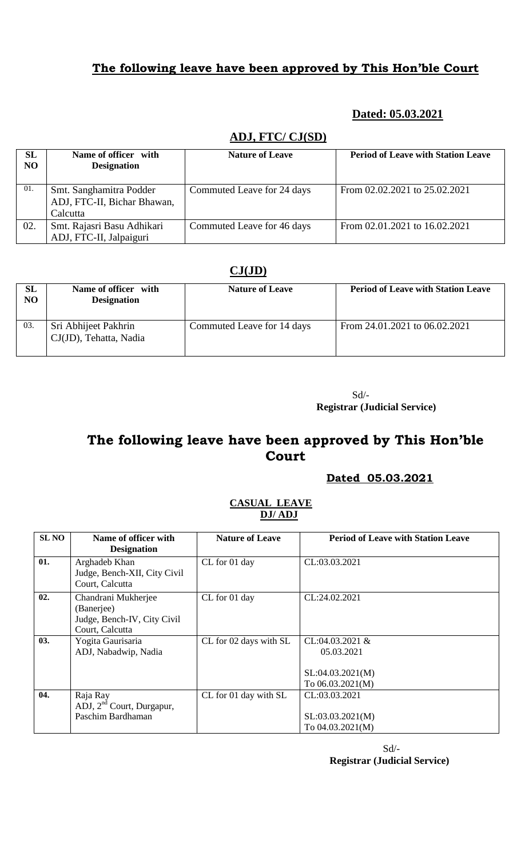## **The following leave have been approved by This Hon'ble Court**

## **Dated: 05.03.2021**

| SL<br>N <sub>O</sub> | Name of officer with<br><b>Designation</b>                         | <b>Nature of Leave</b>     | <b>Period of Leave with Station Leave</b> |  |
|----------------------|--------------------------------------------------------------------|----------------------------|-------------------------------------------|--|
| 01.                  | Smt. Sanghamitra Podder<br>ADJ, FTC-II, Bichar Bhawan,<br>Calcutta | Commuted Leave for 24 days | From 02.02.2021 to 25.02.2021             |  |
| 02.                  | Smt. Rajasri Basu Adhikari<br>ADJ, FTC-II, Jalpaiguri              | Commuted Leave for 46 days | From 02.01.2021 to 16.02.2021             |  |

## **ADJ, FTC/ CJ(SD)**

#### **CJ(JD)**

| <b>SL</b><br>NO | Name of officer with<br><b>Designation</b>     | <b>Nature of Leave</b>     | <b>Period of Leave with Station Leave</b> |
|-----------------|------------------------------------------------|----------------------------|-------------------------------------------|
| 03.             | Sri Abhijeet Pakhrin<br>CJ(JD), Tehatta, Nadia | Commuted Leave for 14 days | From 24.01.2021 to 06.02.2021             |

Sd/-  **Registrar (Judicial Service)**

# **The following leave have been approved by This Hon'ble Court**

 **Dated 05.03.2021**

#### **CASUAL LEAVE DJ/ ADJ**

| <b>SL NO</b> | Name of officer with<br><b>Designation</b>                                          | <b>Nature of Leave</b> | <b>Period of Leave with Station Leave</b>                                 |
|--------------|-------------------------------------------------------------------------------------|------------------------|---------------------------------------------------------------------------|
| 01.          | Arghadeb Khan<br>Judge, Bench-XII, City Civil<br>Court, Calcutta                    | CL for 01 day          | CL:03.03.2021                                                             |
| 02.          | Chandrani Mukherjee<br>(Banerjee)<br>Judge, Bench-IV, City Civil<br>Court, Calcutta | CL for 01 day          | CL:24.02.2021                                                             |
| 03.          | Yogita Gaurisaria<br>ADJ, Nabadwip, Nadia                                           | CL for 02 days with SL | $CL:04.03.2021$ &<br>05.03.2021<br>SL:04.03.2021(M)<br>To $06.03.2021(M)$ |
| 04.          | Raja Ray<br>ADJ, $2nd$ Court, Durgapur,<br>Paschim Bardhaman                        | CL for 01 day with SL  | CL:03.03.2021<br>SL: 03.03.2021(M)<br>To 04.03.2021(M)                    |

Sd/- **Registrar (Judicial Service)**